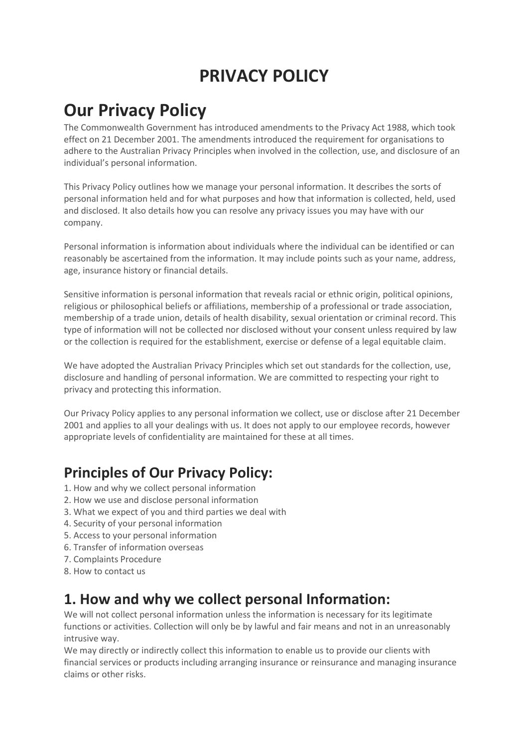# PRIVACY POLICY

# Our Privacy Policy

The Commonwealth Government has introduced amendments to the Privacy Act 1988, which took effect on 21 December 2001. The amendments introduced the requirement for organisations to adhere to the Australian Privacy Principles when involved in the collection, use, and disclosure of an individual's personal information.

This Privacy Policy outlines how we manage your personal information. It describes the sorts of personal information held and for what purposes and how that information is collected, held, used and disclosed. It also details how you can resolve any privacy issues you may have with our company.

Personal information is information about individuals where the individual can be identified or can reasonably be ascertained from the information. It may include points such as your name, address, age, insurance history or financial details.

Sensitive information is personal information that reveals racial or ethnic origin, political opinions, religious or philosophical beliefs or affiliations, membership of a professional or trade association, membership of a trade union, details of health disability, sexual orientation or criminal record. This type of information will not be collected nor disclosed without your consent unless required by law or the collection is required for the establishment, exercise or defense of a legal equitable claim.

We have adopted the Australian Privacy Principles which set out standards for the collection, use, disclosure and handling of personal information. We are committed to respecting your right to privacy and protecting this information.

Our Privacy Policy applies to any personal information we collect, use or disclose after 21 December 2001 and applies to all your dealings with us. It does not apply to our employee records, however appropriate levels of confidentiality are maintained for these at all times.

## Principles of Our Privacy Policy:

- 1. How and why we collect personal information
- 2. How we use and disclose personal information
- 3. What we expect of you and third parties we deal with
- 4. Security of your personal information
- 5. Access to your personal information
- 6. Transfer of information overseas
- 7. Complaints Procedure
- 8. How to contact us

## 1. How and why we collect personal Information:

We will not collect personal information unless the information is necessary for its legitimate functions or activities. Collection will only be by lawful and fair means and not in an unreasonably intrusive way.

We may directly or indirectly collect this information to enable us to provide our clients with financial services or products including arranging insurance or reinsurance and managing insurance claims or other risks.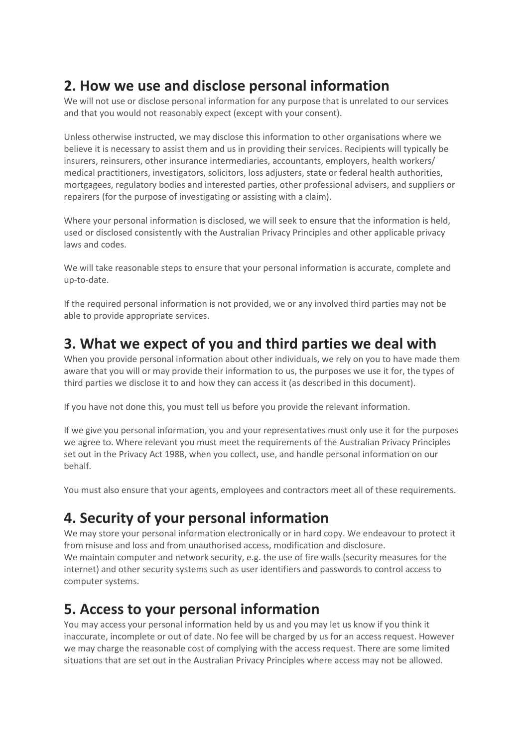# 2. How we use and disclose personal information

We will not use or disclose personal information for any purpose that is unrelated to our services and that you would not reasonably expect (except with your consent).

Unless otherwise instructed, we may disclose this information to other organisations where we believe it is necessary to assist them and us in providing their services. Recipients will typically be insurers, reinsurers, other insurance intermediaries, accountants, employers, health workers/ medical practitioners, investigators, solicitors, loss adjusters, state or federal health authorities, mortgagees, regulatory bodies and interested parties, other professional advisers, and suppliers or repairers (for the purpose of investigating or assisting with a claim).

Where your personal information is disclosed, we will seek to ensure that the information is held, used or disclosed consistently with the Australian Privacy Principles and other applicable privacy laws and codes.

We will take reasonable steps to ensure that your personal information is accurate, complete and up-to-date.

If the required personal information is not provided, we or any involved third parties may not be able to provide appropriate services.

#### 3. What we expect of you and third parties we deal with

When you provide personal information about other individuals, we rely on you to have made them aware that you will or may provide their information to us, the purposes we use it for, the types of third parties we disclose it to and how they can access it (as described in this document).

If you have not done this, you must tell us before you provide the relevant information.

If we give you personal information, you and your representatives must only use it for the purposes we agree to. Where relevant you must meet the requirements of the Australian Privacy Principles set out in the Privacy Act 1988, when you collect, use, and handle personal information on our behalf.

You must also ensure that your agents, employees and contractors meet all of these requirements.

# 4. Security of your personal information

We may store your personal information electronically or in hard copy. We endeavour to protect it from misuse and loss and from unauthorised access, modification and disclosure. We maintain computer and network security, e.g. the use of fire walls (security measures for the internet) and other security systems such as user identifiers and passwords to control access to computer systems.

#### 5. Access to your personal information

You may access your personal information held by us and you may let us know if you think it inaccurate, incomplete or out of date. No fee will be charged by us for an access request. However we may charge the reasonable cost of complying with the access request. There are some limited situations that are set out in the Australian Privacy Principles where access may not be allowed.